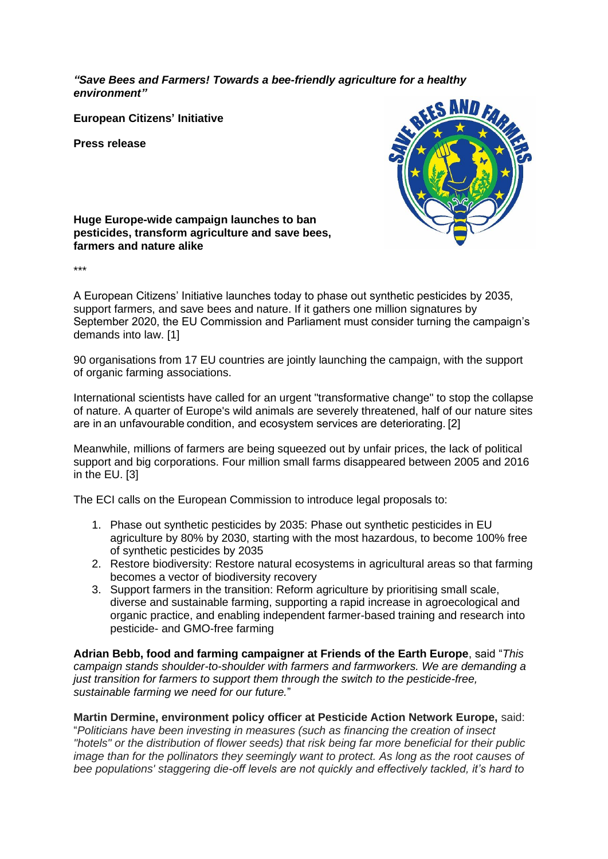*"Save Bees and Farmers! Towards a bee-friendly agriculture for a healthy environment"*

**European Citizens' Initiative**

**Press release**



**Huge Europe-wide campaign launches to ban pesticides, transform agriculture and save bees, farmers and nature alike**

\*\*\*

A European Citizens' Initiative launches today to phase out synthetic pesticides by 2035, support farmers, and save bees and nature. If it gathers one million signatures by September 2020, the EU Commission and Parliament must consider turning the campaign's demands into law. [1]

90 organisations from 17 EU countries are jointly launching the campaign, with the support of organic farming associations.

International scientists have called for an urgent "transformative change" to stop the collapse of nature. A quarter of Europe's wild animals are severely threatened, half of our nature sites are in an unfavourable condition, and ecosystem services are deteriorating. [2]

Meanwhile, millions of farmers are being squeezed out by unfair prices, the lack of political support and big corporations. Four million small farms disappeared between 2005 and 2016 in the EU. [3]

The ECI calls on the European Commission to introduce legal proposals to:

- 1. Phase out synthetic pesticides by 2035: Phase out synthetic pesticides in EU agriculture by 80% by 2030, starting with the most hazardous, to become 100% free of synthetic pesticides by 2035
- 2. Restore biodiversity: Restore natural ecosystems in agricultural areas so that farming becomes a vector of biodiversity recovery
- 3. Support farmers in the transition: Reform agriculture by prioritising small scale, diverse and sustainable farming, supporting a rapid increase in agroecological and organic practice, and enabling independent farmer-based training and research into pesticide- and GMO-free farming

**Adrian Bebb, food and farming campaigner at Friends of the Earth Europe**, said "*This campaign stands shoulder-to-shoulder with farmers and farmworkers. We are demanding a just transition for farmers to support them through the switch to the pesticide-free, sustainable farming we need for our future.*"

**Martin Dermine, environment policy officer at Pesticide Action Network Europe,** said: "*Politicians have been investing in measures (such as financing the creation of insect "hotels" or the distribution of flower seeds) that risk being far more beneficial for their public image than for the pollinators they seemingly want to protect. As long as the root causes of bee populations' staggering die-off levels are not quickly and effectively tackled, it's hard to*